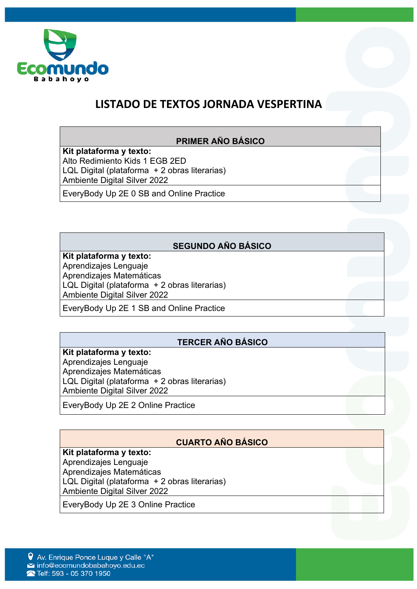

# **LISTADO DE TEXTOS JORNADA VESPERTINA**

### **PRIMER AÑO BÁSICO**

**Kit plataforma y texto:** Alto Redimiento Kids 1 EGB 2ED LQL Digital (plataforma + 2 obras literarias) Ambiente Digital Silver 2022

EveryBody Up 2E 0 SB and Online Practice

## **SEGUNDO AÑO BÁSICO**

#### **Kit plataforma y texto:**

Aprendizajes Lenguaje Aprendizajes Matemáticas LQL Digital (plataforma + 2 obras literarias) Ambiente Digital Silver 2022

EveryBody Up 2E 1 SB and Online Practice

## **TERCER AÑO BÁSICO**

**Kit plataforma y texto:** Aprendizajes Lenguaje Aprendizajes Matemáticas LQL Digital (plataforma + 2 obras literarias) Ambiente Digital Silver 2022

EveryBody Up 2E 2 Online Practice

## **CUARTO AÑO BÁSICO**

### **Kit plataforma y texto:**

Aprendizajes Lenguaje Aprendizajes Matemáticas LQL Digital (plataforma + 2 obras literarias) Ambiente Digital Silver 2022

EveryBody Up 2E 3 Online Practice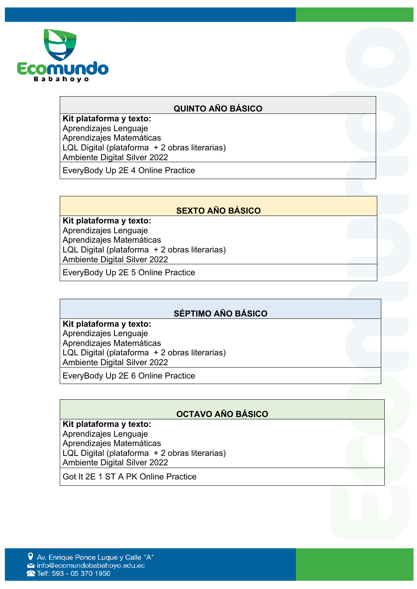

## **QUINTO AÑO BÁSICO**

**Kit plataforma y texto:** Aprendizajes Lenguaje Aprendizajes Matemáticas LQL Digital (plataforma + 2 obras literarias) Ambiente Digital Silver 2022

EveryBody Up 2E 4 Online Practice

# **SEXTO AÑO BÁSICO**

**Kit plataforma y texto:** Aprendizajes Lenguaje Aprendizajes Matemáticas LQL Digital (plataforma + 2 obras literarias) Ambiente Digital Silver 2022

EveryBody Up 2E 5 Online Practice

### **SÉPTIMO AÑO BÁSICO**

#### **Kit plataforma y texto:**

Aprendizajes Lenguaje Aprendizajes Matemáticas LQL Digital (plataforma + 2 obras literarias) Ambiente Digital Silver 2022

EveryBody Up 2E 6 Online Practice

# **OCTAVO AÑO BÁSICO**

#### **Kit plataforma y texto:**

Aprendizajes Lenguaje Aprendizajes Matemáticas LQL Digital (plataforma + 2 obras literarias) Ambiente Digital Silver 2022

Got It 2E 1 ST A PK Online Practice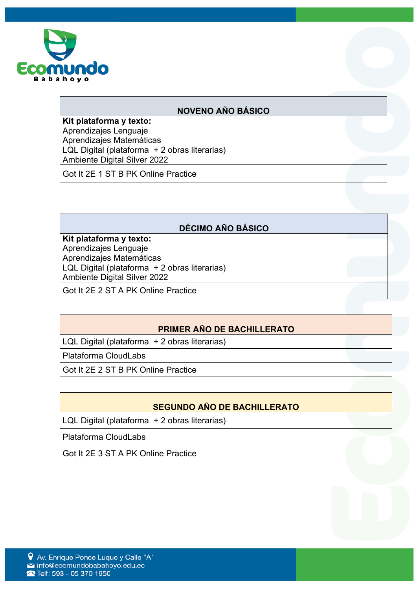

### **NOVENO AÑO BÁSICO**

**Kit plataforma y texto:** Aprendizajes Lenguaje Aprendizajes Matemáticas LQL Digital (plataforma + 2 obras literarias) Ambiente Digital Silver 2022

Got It 2E 1 ST B PK Online Practice

### **DÉCIMO AÑO BÁSICO**

**Kit plataforma y texto:** Aprendizajes Lenguaje Aprendizajes Matemáticas LQL Digital (plataforma + 2 obras literarias) Ambiente Digital Silver 2022

Got It 2E 2 ST A PK Online Practice

### **PRIMER AÑO DE BACHILLERATO**

LQL Digital (plataforma + 2 obras literarias)

Plataforma CloudLabs

Got It 2E 2 ST B PK Online Practice

## **SEGUNDO AÑO DE BACHILLERATO**

LQL Digital (plataforma + 2 obras literarias)

Plataforma CloudLabs

Got It 2E 3 ST A PK Online Practice